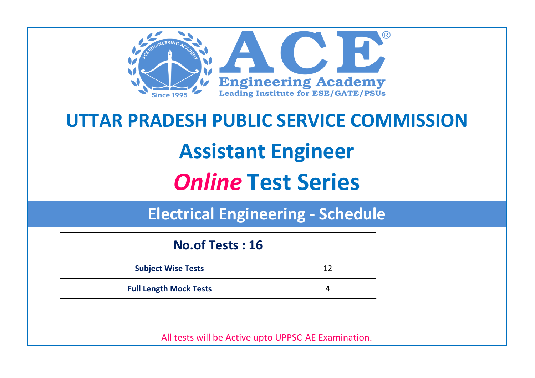

# **UTTAR PRADESH PUBLIC SERVICE COMMISSION Assistant Engineer** *Online* **Test Series**

**Electrical Engineering - Schedule**

| <b>No.of Tests: 16</b>        |    |  |
|-------------------------------|----|--|
| <b>Subject Wise Tests</b>     | 12 |  |
| <b>Full Length Mock Tests</b> |    |  |

All tests will be Active upto UPPSC-AE Examination.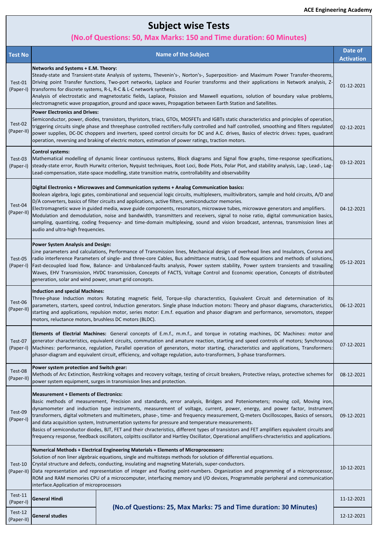# **Subject wise Tests**

### **(No.of Questions: 50, Max Marks: 150 and Time duration: 60 Minutes)**

| <b>Test No</b>        | <b>Name of the Subject</b>                                                                                                                                                                                                                                                                                                                                                                                                                                                                                                                                                                                                                                                                                                                                                                        | Date of<br><b>Activation</b> |
|-----------------------|---------------------------------------------------------------------------------------------------------------------------------------------------------------------------------------------------------------------------------------------------------------------------------------------------------------------------------------------------------------------------------------------------------------------------------------------------------------------------------------------------------------------------------------------------------------------------------------------------------------------------------------------------------------------------------------------------------------------------------------------------------------------------------------------------|------------------------------|
| Test-01<br>(Paper-I)  | <b>Networks and Systems + E.M. Theory:</b><br>Steady-state and Transient-state Analysis of systems, Thevenin's-, Norton's-, Superposition- and Maximum Power Transfer-theorems,<br>Driving point Transfer functions, Two-port networks, Laplace and Fourier transforms and their applications in Network analysis, Z-<br>transforms for discrete systems, R-L, R-C & L-C network synthesis.<br>Analysis of electrostatic and magnetostatic fields, Laplace, Poission and Maxwell equations, solution of boundary value problems,<br>electromagnetic wave propagation, ground and space waves, Propagation between Earth Station and Satellites.                                                                                                                                                   |                              |
| Test-02<br>(Paper-II) | <b>Power Electronics and Drives:</b><br>Semiconductor, power, diodes, transistors, thyristors, triacs, GTOs, MOSFETs and IGBTs static characteristics and principles of operation,<br>triggering circuits single phase and threephase controlled rectifiers-fully controlled and half controlled, smoothing and filters regulated<br>power supplies, DC-DC choppers and inverters, speed control circuits for DC and A.C. drives, Basics of electric drives: types, quadrant<br>operation, reversing and braking of electric motors, estimation of power ratings, traction motors.                                                                                                                                                                                                                |                              |
| Test-03<br>(Paper-I)  | <b>Control systems:</b><br>Mathematical modelling of dynamic linear continuous systems, Block diagrams and Signal flow graphs, time-response specifications,<br>steady-state error, Routh Hurwitz criterion, Nyquist techniques, Root Loci, Bode Plots, Polar Plot, and stability analysis, Lag-, Lead-, Lag-<br>Lead-compensation, state-space modelling, state transition matrix, controllability and observability                                                                                                                                                                                                                                                                                                                                                                             | 03-12-2021                   |
| Test-04<br>(Paper-II) | Digital Electronics + Microwaves and Communication systems + Analog Communication basics:<br>Boolean algebra, logic gates, combinational and sequencial logic circuits, multiplexers, muiltivibrators, sample and hold circuits, A/D and<br>D/A converters, basics of filter circuits and applications, active filters, semiconductor memories.<br>Electromagnetic wave in guided media, wave guide components, resonators, microwave tubes, microwave generators and amplifiers.<br>Modulation and demodulation, noise and bandwidth, transmitters and receivers, signal to noise ratio, digital communication basics,<br>sampling, quantizing, coding frequency- and time-domain multiplexing, sound and vision broadcast, antennas, transmission lines at<br>audio and ultra-high frequencies. | 04-12-2021                   |
| Test-05<br>(Paper-I)  | <b>Power System Analysis and Design:</b><br>[Line parameters and calculations, Performance of Transmission lines, Mechanical design of overhead lines and Insulators, Corona and<br>radio interference Parameters of single- and three-core Cables, Bus admittance matrix, Load flow equations and methods of solutions,<br>Fast-decoupled load flow, Balance- and Unbalanced-faults analysis, Power system stability, Power system transients and travailing<br>Waves, EHV Transmission, HVDC transmission, Concepts of FACTS, Voltage Control and Economic operation, Concepts of distributed<br>generation, solar and wind power, smart grid concepts.                                                                                                                                         | 05-12-2021                   |
| Test-06<br>(Paper-II) | <b>Induction and special Machines:</b><br>Three-phase Induction motors Rotating magnetic field, Torque-slip characterstics, Equivalent Circuit and determination of its<br>parameters, starters, speed control, Induction generators. Single phase Induction motors: Theory and phasor diagrams, characteristics,<br>starting and applications, repulsion motor, series motor: E.m.f. equation and phasor diagram and performance, servomotors, stepper<br>motors, reluctance motors, brushless DC motors (BLDC).                                                                                                                                                                                                                                                                                 |                              |
| Test-07<br>(Paper-I)  | Elements of Electrial Machines: General concepts of E.m.f., m.m.f., and torque in rotating machines, DC Machines: motor and<br>generator characteristics, equivalent circuits, commutation and amature reaction, starting and speed controls of motors; Synchronous<br>Machines: performance, regulation, Parallel operation of generators, motor starting, characteristics and applications, Transformers:<br>phasor-diagram and equivalent circuit, efficiency, and voltage regulation, auto-transformers, 3-phase transformers.                                                                                                                                                                                                                                                                |                              |
| Test-08<br>(Paper-II) | Power system protection and Switch gear:<br>Methods of Arc Extinction, Restriking voltages and recovery voltage, testing of circuit breakers, Protective relays, protective schemes for<br>power system equipment, surges in transmission lines and protection.                                                                                                                                                                                                                                                                                                                                                                                                                                                                                                                                   | 08-12-2021                   |
|                       | <b>Measurement + Elements of Electronics:</b><br>Basic methods of measurement, Precision and standards, error analysis, Bridges and Poteniometers; moving coil, Moving iron,                                                                                                                                                                                                                                                                                                                                                                                                                                                                                                                                                                                                                      |                              |

| Test-09<br>(Paper-I)  |                                                                                                                                                                                                                                                                                                                                                                                                                                                                                                                                                                                                                          | dynamometer and induction type instruments, measurement of voltage, current, power, energy, and power factor, Instrument<br>transformers, digital voltmeters and multimeters, phase-, time- and frequency measurement, Q-meters Oscilloscopes, Basics of sensors,<br>and data acquisition system, Instrumentation systems for pressure and temperature measurements.<br> Basics of semiconductor diodes, BJT, FET and their chracteristics, different types of transistors and FET amplifiers equivalent circuits and <br>frequency response, feedback oscillators, colpitts oscillator and Hartley Oscillator, Operational amplifiers-chracteristics and applications. | 09-12-2021       |
|-----------------------|--------------------------------------------------------------------------------------------------------------------------------------------------------------------------------------------------------------------------------------------------------------------------------------------------------------------------------------------------------------------------------------------------------------------------------------------------------------------------------------------------------------------------------------------------------------------------------------------------------------------------|-------------------------------------------------------------------------------------------------------------------------------------------------------------------------------------------------------------------------------------------------------------------------------------------------------------------------------------------------------------------------------------------------------------------------------------------------------------------------------------------------------------------------------------------------------------------------------------------------------------------------------------------------------------------------|------------------|
| Test-10<br>(Paper-II) | Numerical Methods + Electrical Engineering Materials + Elements of Microprocessors:<br>Solution of non liner algebraic equations, single and multisteps methods for solution of differential equations.<br>Crystal structure and defects, conducting, insulating and magneting Materials, super-conductors.<br>Data representation and representation of integer and floating point-numbers. Organization and programming of a microprocessor,<br>ROM and RAM memories CPU of a microcomputer, interfacing memory and I/O devices, Programmable peripheral and communication<br>interface.Application of microprocessors |                                                                                                                                                                                                                                                                                                                                                                                                                                                                                                                                                                                                                                                                         | $10 - 12 - 2021$ |
| Test-11<br>(Paper-I)  | <b>General Hindi</b>                                                                                                                                                                                                                                                                                                                                                                                                                                                                                                                                                                                                     | (No. of Questions: 25, Max Marks: 75 and Time duration: 30 Minutes)                                                                                                                                                                                                                                                                                                                                                                                                                                                                                                                                                                                                     | 11-12-2021       |
| Test-12<br>(Paper-II) | <b>General studies</b>                                                                                                                                                                                                                                                                                                                                                                                                                                                                                                                                                                                                   |                                                                                                                                                                                                                                                                                                                                                                                                                                                                                                                                                                                                                                                                         | 12-12-2021       |